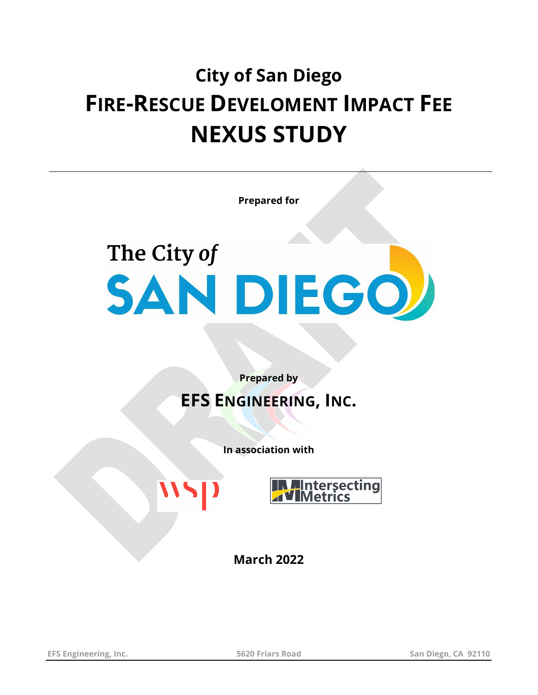## **City of San Diego FIRE-RESCUE DEVELOMENT IMPACT FEE NEXUS STUDY**

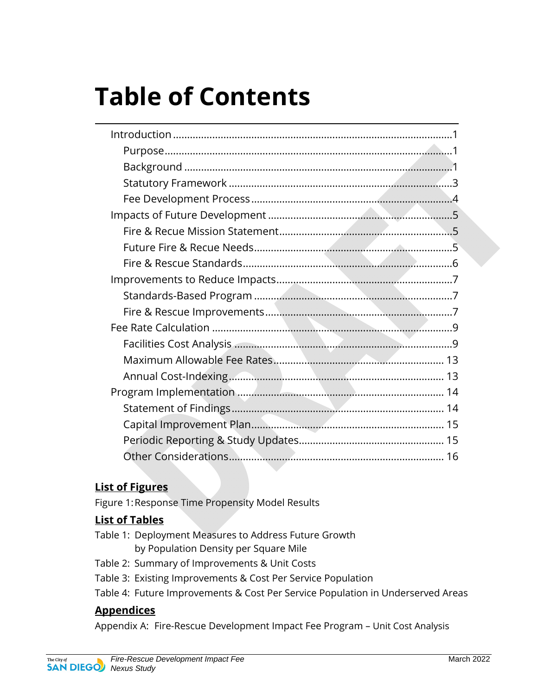## **Table of Contents**

#### **List of Figures**

Figure 1: Response Time Propensity Model Results

#### **List of Tables**

- Table 1: Deployment Measures to Address Future Growth by Population Density per Square Mile
- Table 2: Summary of Improvements & Unit Costs
- Table 3: Existing Improvements & Cost Per Service Population
- Table 4: Future Improvements & Cost Per Service Population in Underserved Areas

#### **Appendices**

Appendix A: Fire-Rescue Development Impact Fee Program – Unit Cost Analysis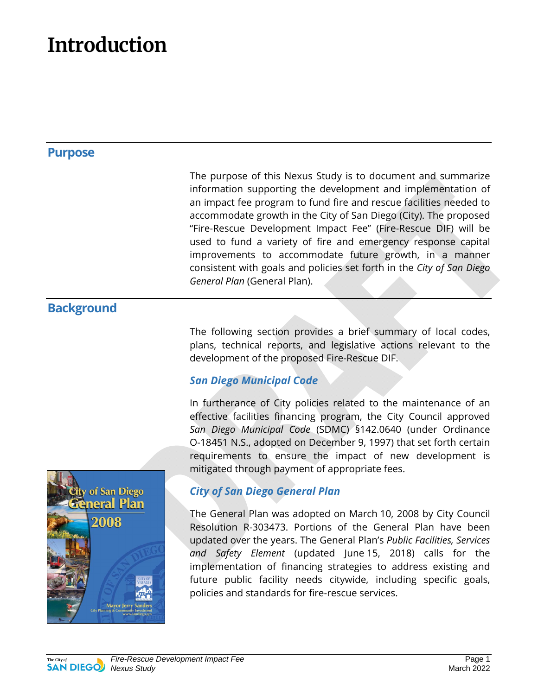## **Introduction**

#### **Purpose**

The purpose of this Nexus Study is to document and summarize information supporting the development and implementation of an impact fee program to fund fire and rescue facilities needed to accommodate growth in the City of San Diego (City). The proposed "Fire-Rescue Development Impact Fee" (Fire-Rescue DIF) will be used to fund a variety of fire and emergency response capital improvements to accommodate future growth, in a manner consistent with goals and policies set forth in the *City of San Diego General Plan* (General Plan).

#### **Background**

The following section provides a brief summary of local codes, plans, technical reports, and legislative actions relevant to the development of the proposed Fire-Rescue DIF.

#### *San Diego Municipal Code*

In furtherance of City policies related to the maintenance of an effective facilities financing program, the City Council approved *San Diego Municipal Code* (SDMC) §142.0640 (under Ordinance O-18451 N.S., adopted on December 9, 1997) that set forth certain requirements to ensure the impact of new development is mitigated through payment of appropriate fees.



#### *City of San Diego General Plan*

The General Plan was adopted on March 10, 2008 by City Council Resolution R-303473. Portions of the General Plan have been updated over the years. The General Plan's *Public Facilities, Services and Safety Element* (updated June 15, 2018) calls for the implementation of financing strategies to address existing and future public facility needs citywide, including specific goals, policies and standards for fire-rescue services.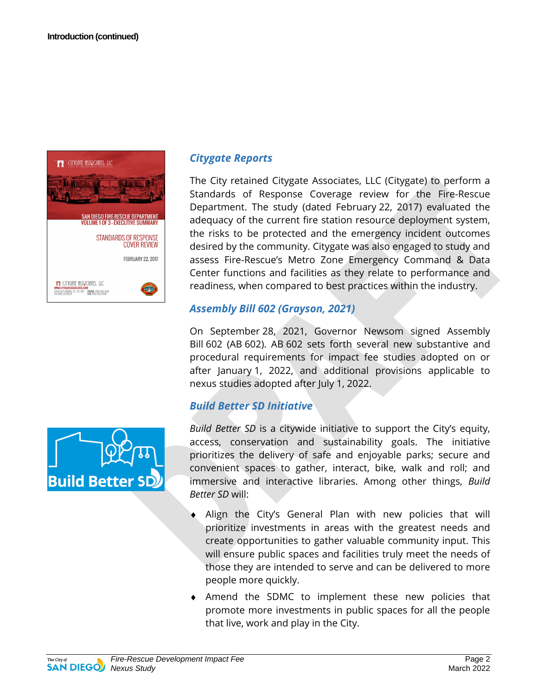

# **Build Better SD**

#### *Citygate Reports*

The City retained Citygate Associates, LLC (Citygate) to perform a Standards of Response Coverage review for the Fire-Rescue Department. The study (dated February 22, 2017) evaluated the adequacy of the current fire station resource deployment system, the risks to be protected and the emergency incident outcomes desired by the community. Citygate was also engaged to study and assess Fire-Rescue's Metro Zone Emergency Command & Data Center functions and facilities as they relate to performance and readiness, when compared to best practices within the industry.

#### *Assembly Bill 602 (Grayson, 2021)*

On September 28, 2021, Governor Newsom signed Assembly Bill 602 (AB 602). AB 602 sets forth several new substantive and procedural requirements for impact fee studies adopted on or after January 1, 2022, and additional provisions applicable to nexus studies adopted after July 1, 2022.

#### *Build Better SD Initiative*

*Build Better SD* is a citywide initiative to support the City's equity, access, conservation and sustainability goals. The initiative prioritizes the delivery of safe and enjoyable parks; secure and convenient spaces to gather, interact, bike, walk and roll; and immersive and interactive libraries. Among other things, *Build Better SD* will:

- Align the City's General Plan with new policies that will prioritize investments in areas with the greatest needs and create opportunities to gather valuable community input. This will ensure public spaces and facilities truly meet the needs of those they are intended to serve and can be delivered to more people more quickly.
- ♦ Amend the SDMC to implement these new policies that promote more investments in public spaces for all the people that live, work and play in the City.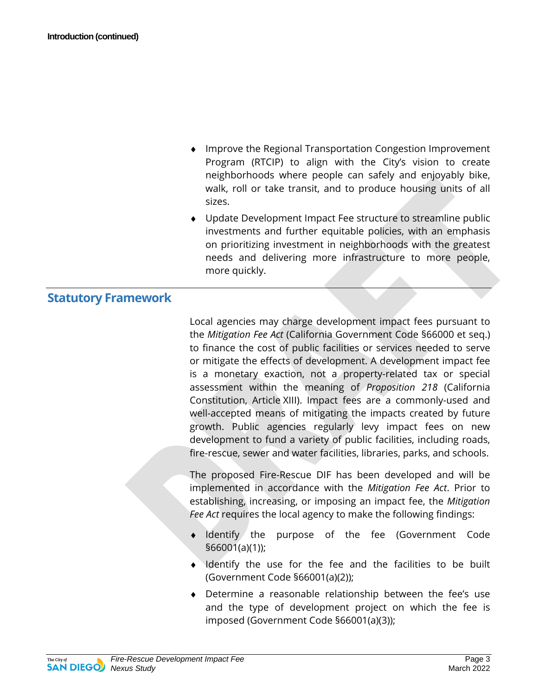- Improve the Regional Transportation Congestion Improvement Program (RTCIP) to align with the City's vision to create neighborhoods where people can safely and enjoyably bike, walk, roll or take transit, and to produce housing units of all sizes.
- ♦ Update Development Impact Fee structure to streamline public investments and further equitable policies, with an emphasis on prioritizing investment in neighborhoods with the greatest needs and delivering more infrastructure to more people, more quickly.

#### **Statutory Framework**

Local agencies may charge development impact fees pursuant to the *Mitigation Fee Act* (California Government Code §66000 et seq.) to finance the cost of public facilities or services needed to serve or mitigate the effects of development. A development impact fee is a monetary exaction, not a property-related tax or special assessment within the meaning of *Proposition 218* (California Constitution, Article XIII). Impact fees are a commonly-used and well-accepted means of mitigating the impacts created by future growth. Public agencies regularly levy impact fees on new development to fund a variety of public facilities, including roads, fire-rescue, sewer and water facilities, libraries, parks, and schools.

The proposed Fire-Rescue DIF has been developed and will be implemented in accordance with the *Mitigation Fee Act*. Prior to establishing, increasing, or imposing an impact fee, the *Mitigation Fee Act* requires the local agency to make the following findings:

- Identify the purpose of the fee (Government Code §66001(a)(1));
- ♦ Identify the use for the fee and the facilities to be built (Government Code §66001(a)(2));
- ♦ Determine a reasonable relationship between the fee's use and the type of development project on which the fee is imposed (Government Code §66001(a)(3));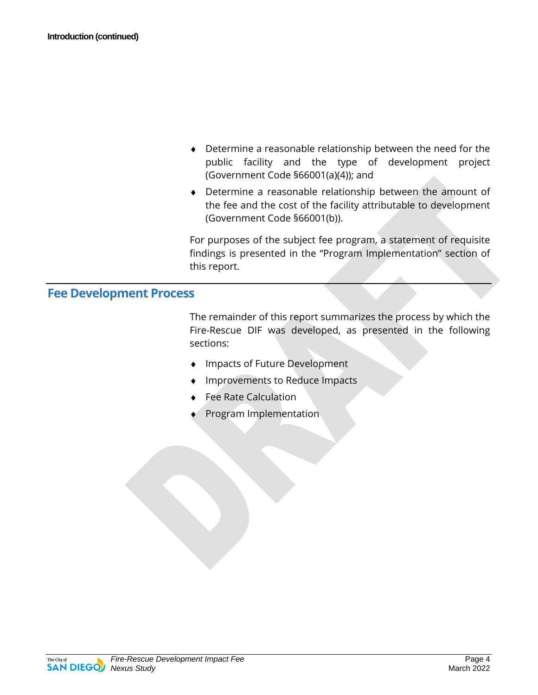- ♦ Determine a reasonable relationship between the need for the public facility and the type of development project (Government Code §66001(a)(4)); and
- ♦ Determine a reasonable relationship between the amount of the fee and the cost of the facility attributable to development (Government Code §66001(b)).

For purposes of the subject fee program, a statement of requisite findings is presented in the "Program Implementation" section of this report.

#### **Fee Development Process**

The remainder of this report summarizes the process by which the Fire-Rescue DIF was developed, as presented in the following sections:

- Impacts of Future Development
- Improvements to Reduce Impacts
- **Fee Rate Calculation**
- Program Implementation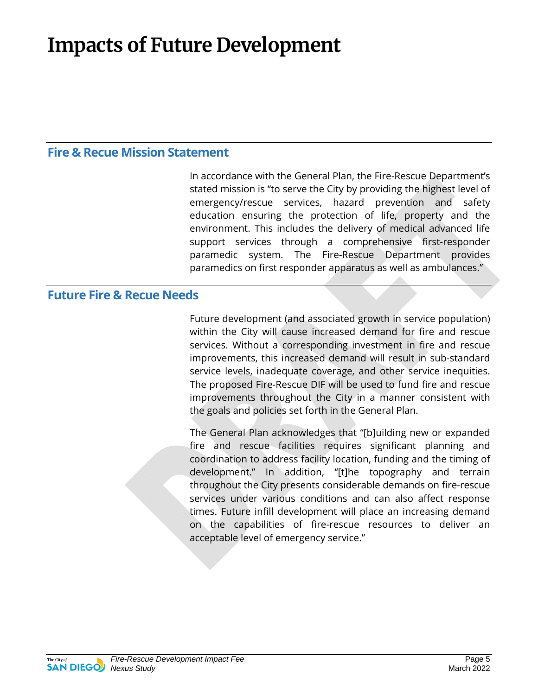## **Impacts of Future Development**

#### **Fire & Recue Mission Statement**

In accordance with the General Plan, the Fire-Rescue Department's stated mission is "to serve the City by providing the highest level of emergency/rescue services, hazard prevention and safety education ensuring the protection of life, property and the environment. This includes the delivery of medical advanced life support services through a comprehensive first-responder paramedic system. The Fire-Rescue Department provides paramedics on first responder apparatus as well as ambulances."

#### **Future Fire & Recue Needs**

Future development (and associated growth in service population) within the City will cause increased demand for fire and rescue services. Without a corresponding investment in fire and rescue improvements, this increased demand will result in sub-standard service levels, inadequate coverage, and other service inequities. The proposed Fire-Rescue DIF will be used to fund fire and rescue improvements throughout the City in a manner consistent with the goals and policies set forth in the General Plan.

The General Plan acknowledges that "[b]uilding new or expanded fire and rescue facilities requires significant planning and coordination to address facility location, funding and the timing of development." In addition, "[t]he topography and terrain throughout the City presents considerable demands on fire-rescue services under various conditions and can also affect response times. Future infill development will place an increasing demand on the capabilities of fire-rescue resources to deliver an acceptable level of emergency service."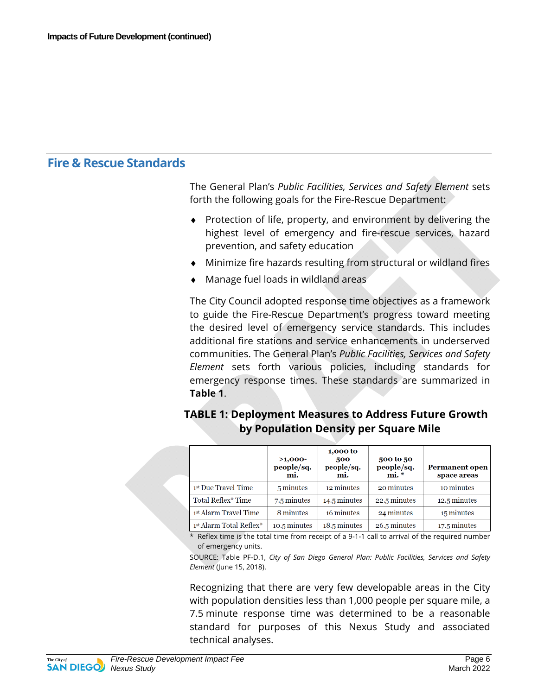#### **Fire & Rescue Standards**

The General Plan's *Public Facilities, Services and Safety Element* sets forth the following goals for the Fire-Rescue Department:

- Protection of life, property, and environment by delivering the highest level of emergency and fire-rescue services, hazard prevention, and safety education
- ♦ Minimize fire hazards resulting from structural or wildland fires
- Manage fuel loads in wildland areas

The City Council adopted response time objectives as a framework to guide the Fire-Rescue Department's progress toward meeting the desired level of emergency service standards. This includes additional fire stations and service enhancements in underserved communities. The General Plan's *Public Facilities, Services and Safety Element* sets forth various policies, including standards for emergency response times. These standards are summarized in **Table 1**.

#### **TABLE 1: Deployment Measures to Address Future Growth by Population Density per Square Mile**

|  |                         | $>1,000-$<br>people/sq.<br>mi. | 1,000 to<br>500<br>people/sq.<br>mi. | 500 to 50<br>people/sq.<br>$\mathbf{mi}$ . $*$ | <b>Permanent open</b><br>space areas |
|--|-------------------------|--------------------------------|--------------------------------------|------------------------------------------------|--------------------------------------|
|  | 1st Due Travel Time     | 5 minutes                      | 12 minutes                           | 20 minutes                                     | 10 minutes                           |
|  | Total Reflex* Time      | 7.5 minutes                    | 14.5 minutes                         | 22.5 minutes                                   | 12.5 minutes                         |
|  | 1st Alarm Travel Time   | 8 minutes                      | 16 minutes                           | 24 minutes                                     | 15 minutes                           |
|  | 1st Alarm Total Reflex* | 10.5 minutes                   | 18.5 minutes                         | 26.5 minutes                                   | 17.5 minutes                         |

\* Reflex time is the total time from receipt of a 9-1-1 call to arrival of the required number of emergency units.

SOURCE: Table PF-D.1, *City of San Diego General Plan: Public Facilities, Services and Safety Element* (June 15, 2018).

Recognizing that there are very few developable areas in the City with population densities less than 1,000 people per square mile, a 7.5 minute response time was determined to be a reasonable standard for purposes of this Nexus Study and associated technical analyses.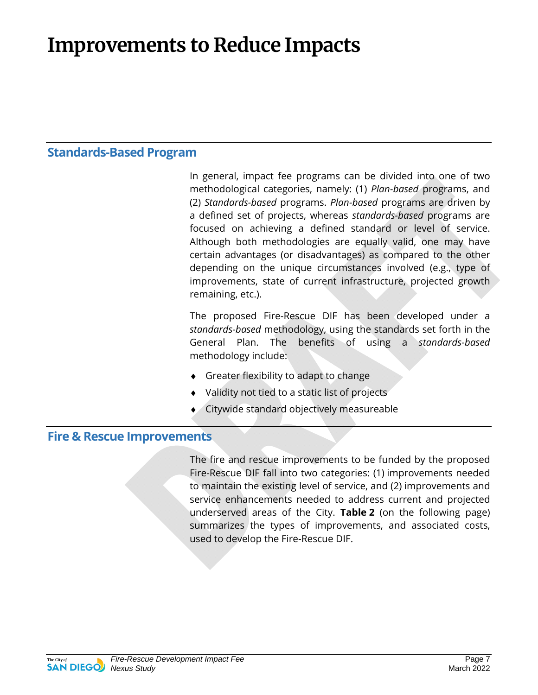## **Improvements to Reduce Impacts**

#### **Standards-Based Program**

In general, impact fee programs can be divided into one of two methodological categories, namely: (1) *Plan-based* programs, and (2) *Standards-based* programs. *Plan-based* programs are driven by a defined set of projects, whereas *standards-based* programs are focused on achieving a defined standard or level of service. Although both methodologies are equally valid, one may have certain advantages (or disadvantages) as compared to the other depending on the unique circumstances involved (e.g., type of improvements, state of current infrastructure, projected growth remaining, etc.).

The proposed Fire-Rescue DIF has been developed under a *standards-based* methodology, using the standards set forth in the General Plan. The benefits of using a *standards-based* methodology include:

- ♦ Greater flexibility to adapt to change
- Validity not tied to a static list of projects
- Citywide standard objectively measureable

#### **Fire & Rescue Improvements**

The fire and rescue improvements to be funded by the proposed Fire-Rescue DIF fall into two categories: (1) improvements needed to maintain the existing level of service, and (2) improvements and service enhancements needed to address current and projected underserved areas of the City. **Table 2** (on the following page) summarizes the types of improvements, and associated costs, used to develop the Fire-Rescue DIF.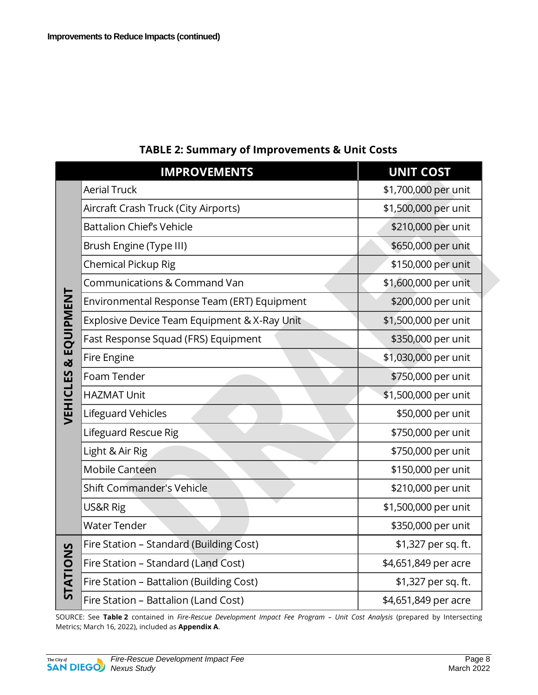|             | <b>IMPROVEMENTS</b>                          | <b>UNIT COST</b>     |
|-------------|----------------------------------------------|----------------------|
|             | <b>Aerial Truck</b>                          | \$1,700,000 per unit |
|             | Aircraft Crash Truck (City Airports)         | \$1,500,000 per unit |
|             | <b>Battalion Chief's Vehicle</b>             | \$210,000 per unit   |
|             | Brush Engine (Type III)                      | \$650,000 per unit   |
|             | <b>Chemical Pickup Rig</b>                   | \$150,000 per unit   |
|             | Communications & Command Van                 | \$1,600,000 per unit |
|             | Environmental Response Team (ERT) Equipment  | \$200,000 per unit   |
|             | Explosive Device Team Equipment & X-Ray Unit | \$1,500,000 per unit |
| & EQUIPMENT | Fast Response Squad (FRS) Equipment          | \$350,000 per unit   |
|             | Fire Engine                                  | \$1,030,000 per unit |
|             | Foam Tender                                  | \$750,000 per unit   |
|             | <b>HAZMAT Unit</b>                           | \$1,500,000 per unit |
| VEHICLES    | Lifeguard Vehicles                           | \$50,000 per unit    |
|             | Lifeguard Rescue Rig                         | \$750,000 per unit   |
|             | Light & Air Rig                              | \$750,000 per unit   |
|             | <b>Mobile Canteen</b>                        | \$150,000 per unit   |
|             | <b>Shift Commander's Vehicle</b>             | \$210,000 per unit   |
|             | US&R Rig                                     | \$1,500,000 per unit |
|             | <b>Water Tender</b>                          | \$350,000 per unit   |
|             | Fire Station - Standard (Building Cost)      | \$1,327 per sq. ft.  |
|             | Fire Station - Standard (Land Cost)          | \$4,651,849 per acre |
| STATIONS    | Fire Station - Battalion (Building Cost)     | \$1,327 per sq. ft.  |
|             | Fire Station - Battalion (Land Cost)         | \$4,651,849 per acre |

#### **TABLE 2: Summary of Improvements & Unit Costs**

SOURCE: See **Table 2** contained in *Fire-Rescue Development Impact Fee Program – Unit Cost Analysis* (prepared by Intersecting Metrics; March 16, 2022), included as **Appendix A**.

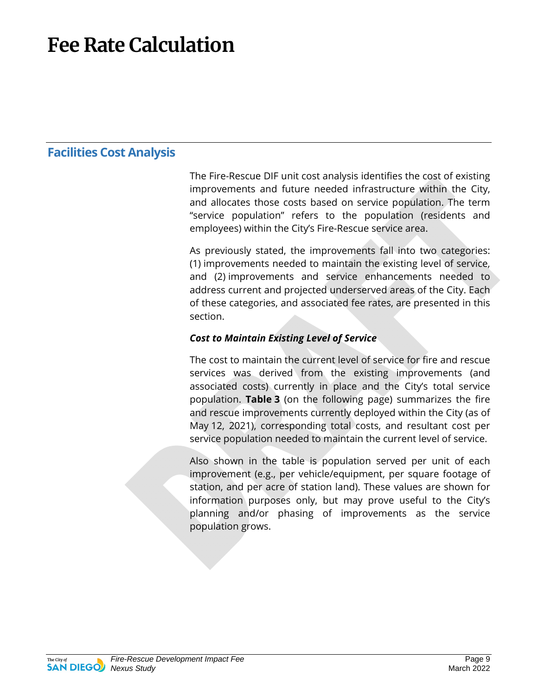## **Fee Rate Calculation**

#### **Facilities Cost Analysis**

The Fire-Rescue DIF unit cost analysis identifies the cost of existing improvements and future needed infrastructure within the City, and allocates those costs based on service population. The term "service population" refers to the population (residents and employees) within the City's Fire-Rescue service area.

As previously stated, the improvements fall into two categories: (1) improvements needed to maintain the existing level of service, and (2) improvements and service enhancements needed to address current and projected underserved areas of the City. Each of these categories, and associated fee rates, are presented in this section.

#### *Cost to Maintain Existing Level of Service*

The cost to maintain the current level of service for fire and rescue services was derived from the existing improvements (and associated costs) currently in place and the City's total service population. **Table 3** (on the following page) summarizes the fire and rescue improvements currently deployed within the City (as of May 12, 2021), corresponding total costs, and resultant cost per service population needed to maintain the current level of service.

Also shown in the table is population served per unit of each improvement (e.g., per vehicle/equipment, per square footage of station, and per acre of station land). These values are shown for information purposes only, but may prove useful to the City's planning and/or phasing of improvements as the service population grows.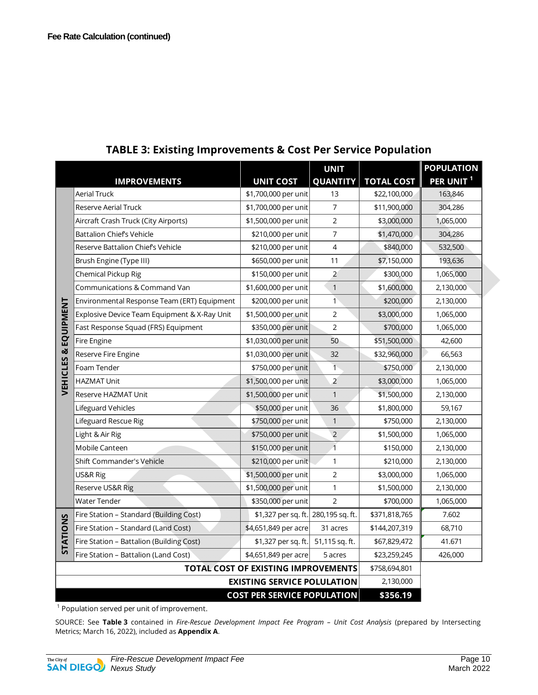|                      | <b>IMPROVEMENTS</b>                          | <b>UNIT COST</b>                    | <b>UNIT</b><br><b>QUANTITY</b> | <b>TOTAL COST</b> | <b>POPULATION</b><br>PER UNIT <sup>1</sup> |
|----------------------|----------------------------------------------|-------------------------------------|--------------------------------|-------------------|--------------------------------------------|
|                      | <b>Aerial Truck</b>                          | \$1,700,000 per unit                | 13                             | \$22,100,000      | 163,846                                    |
|                      | <b>Reserve Aerial Truck</b>                  | \$1,700,000 per unit                | $\overline{7}$                 | \$11,900,000      | 304,286                                    |
|                      | Aircraft Crash Truck (City Airports)         | \$1,500,000 per unit                | $\overline{2}$                 | \$3,000,000       | 1,065,000                                  |
|                      | Battalion Chief's Vehicle                    | \$210,000 per unit                  | $\overline{7}$                 | \$1,470,000       | 304,286                                    |
|                      | Reserve Battalion Chief's Vehicle            | \$210,000 per unit                  | 4                              | \$840,000         | 532,500                                    |
|                      | Brush Engine (Type III)                      | \$650,000 per unit                  | 11                             | \$7,150,000       | 193,636                                    |
|                      | Chemical Pickup Rig                          | \$150,000 per unit                  | $\overline{2}$                 | \$300,000         | 1,065,000                                  |
|                      | Communications & Command Van                 | \$1,600,000 per unit                | $\mathbf{1}$                   | \$1,600,000       | 2,130,000                                  |
|                      | Environmental Response Team (ERT) Equipment  | \$200,000 per unit                  | $\overline{1}$                 | \$200,000         | 2,130,000                                  |
| <b>EQUIPMENT</b>     | Explosive Device Team Equipment & X-Ray Unit | \$1,500,000 per unit                | $\overline{2}$                 | \$3,000,000       | 1,065,000                                  |
|                      | Fast Response Squad (FRS) Equipment          | \$350,000 per unit                  | $\overline{2}$                 | \$700,000         | 1,065,000                                  |
|                      | Fire Engine                                  | \$1,030,000 per unit                | 50                             | \$51,500,000      | 42,600                                     |
|                      | Reserve Fire Engine                          | \$1,030,000 per unit                | 32                             | \$32,960,000      | 66,563                                     |
| <b>VEHICLES&amp;</b> | Foam Tender                                  | \$750,000 per unit                  | $\overline{1}$                 | \$750,000         | 2,130,000                                  |
|                      | HAZMAT Unit                                  | \$1,500,000 per unit                | $\overline{2}$                 | \$3,000,000       | 1,065,000                                  |
|                      | Reserve HAZMAT Unit                          | \$1,500,000 per unit                | $\mathbf{1}$                   | \$1,500,000       | 2,130,000                                  |
|                      | Lifeguard Vehicles                           | \$50,000 per unit                   | 36                             | \$1,800,000       | 59,167                                     |
|                      | Lifeguard Rescue Rig                         | \$750,000 per unit                  | $\mathbf{1}$                   | \$750,000         | 2,130,000                                  |
|                      | Light & Air Rig                              | \$750,000 per unit                  | $\overline{2}$                 | \$1,500,000       | 1,065,000                                  |
|                      | Mobile Canteen                               | \$150,000 per unit                  | $\overline{1}$                 | \$150,000         | 2,130,000                                  |
|                      | <b>Shift Commander's Vehicle</b>             | \$210,000 per unit                  | $\mathbf{1}$                   | \$210,000         | 2,130,000                                  |
|                      | US&R Rig                                     | \$1,500,000 per unit                | $\overline{2}$                 | \$3,000,000       | 1,065,000                                  |
|                      | Reserve US&R Rig                             | \$1,500,000 per unit                | $\mathbf{1}$                   | \$1,500,000       | 2,130,000                                  |
|                      | <b>Water Tender</b>                          | \$350,000 per unit                  | $\overline{2}$                 | \$700,000         | 1,065,000                                  |
|                      | Fire Station - Standard (Building Cost)      | \$1,327 per sq. ft. 280,195 sq. ft. |                                | \$371,818,765     | 7.602                                      |
|                      | Fire Station - Standard (Land Cost)          | \$4,651,849 per acre                | 31 acres                       | \$144,207,319     | 68,710                                     |
| STATIONS             | Fire Station - Battalion (Building Cost)     | \$1,327 per sq. ft.                 | 51,115 sq. ft.                 | \$67,829,472      | 41.671                                     |
|                      | Fire Station - Battalion (Land Cost)         | \$4,651,849 per acre                | 5 acres                        | \$23,259,245      | 426,000                                    |
|                      | TOTAL COST OF EXISTING IMPROVEMENTS          |                                     |                                |                   |                                            |
|                      | <b>EXISTING SERVICE POLULATION</b>           |                                     |                                |                   |                                            |
|                      | <b>COST PER SERVICE POPULATION</b>           |                                     |                                |                   |                                            |

#### **TABLE 3: Existing Improvements & Cost Per Service Population**

 $1$  Population served per unit of improvement.

SOURCE: See **Table 3** contained in *Fire-Rescue Development Impact Fee Program – Unit Cost Analysis* (prepared by Intersecting Metrics; March 16, 2022), included as **Appendix A**.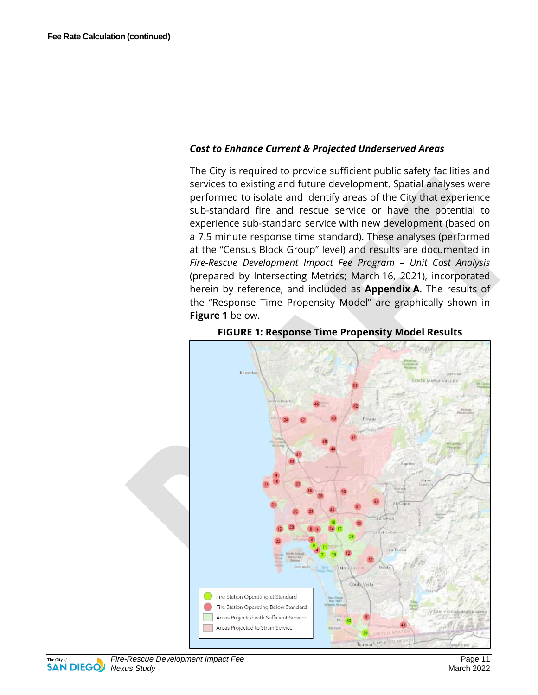#### *Cost to Enhance Current & Projected Underserved Areas*

The City is required to provide sufficient public safety facilities and services to existing and future development. Spatial analyses were performed to isolate and identify areas of the City that experience sub-standard fire and rescue service or have the potential to experience sub-standard service with new development (based on a 7.5 minute response time standard). These analyses (performed at the "Census Block Group" level) and results are documented in *Fire-Rescue Development Impact Fee Program – Unit Cost Analysis* (prepared by Intersecting Metrics; March 16, 2021), incorporated herein by reference, and included as **Appendix A**. The results of the "Response Time Propensity Model" are graphically shown in **Figure 1** below.





The City of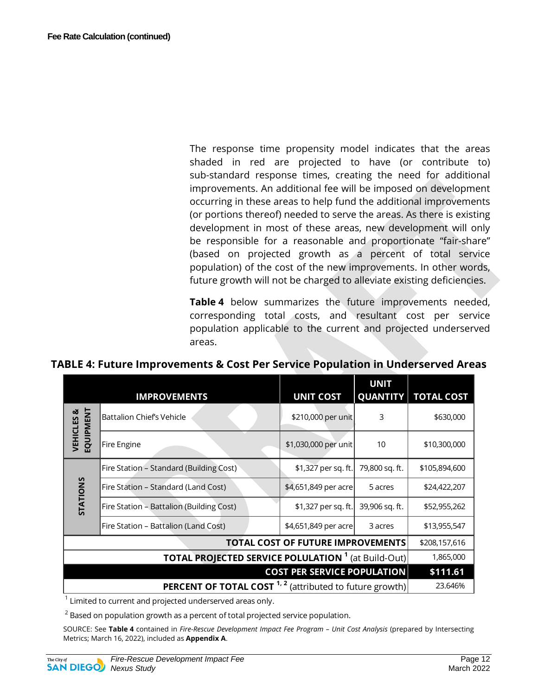The response time propensity model indicates that the areas shaded in red are projected to have (or contribute to) sub-standard response times, creating the need for additional improvements. An additional fee will be imposed on development occurring in these areas to help fund the additional improvements (or portions thereof) needed to serve the areas. As there is existing development in most of these areas, new development will only be responsible for a reasonable and proportionate "fair-share" (based on projected growth as a percent of total service population) of the cost of the new improvements. In other words, future growth will not be charged to alleviate existing deficiencies.

**Table 4** below summarizes the future improvements needed, corresponding total costs, and resultant cost per service population applicable to the current and projected underserved areas.

|  |  |  | TABLE 4: Future Improvements & Cost Per Service Population in Underserved Areas |
|--|--|--|---------------------------------------------------------------------------------|
|--|--|--|---------------------------------------------------------------------------------|

|                                                                   | <b>IMPROVEMENTS</b>                      | <b>UNIT COST</b>     | <b>UNIT</b><br><b>QUANTITY</b> | <b>TOTAL COST</b> |
|-------------------------------------------------------------------|------------------------------------------|----------------------|--------------------------------|-------------------|
| <b>EQUIPMENT</b><br><b>VEHICLES &amp;</b>                         | <b>Battalion Chiefs Vehicle</b>          | \$210,000 per unit   | 3                              | \$630,000         |
|                                                                   | Fire Engine                              | \$1,030,000 per unit | 10                             | \$10,300,000      |
|                                                                   | Fire Station - Standard (Building Cost)  | \$1,327 per sq. ft.  | 79,800 sq. ft.                 | \$105,894,600     |
| <b>STATIONS</b>                                                   | Fire Station – Standard (Land Cost)      | \$4,651,849 per acre | 5 acres                        | \$24,422,207      |
|                                                                   | Fire Station - Battalion (Building Cost) | \$1,327 per sq. ft.  | 39,906 sq. ft.                 | \$52,955,262      |
|                                                                   | Fire Station - Battalion (Land Cost)     | \$4,651,849 per acre | 3 acres                        | \$13,955,547      |
|                                                                   | \$208,157,616                            |                      |                                |                   |
|                                                                   | 1,865,000                                |                      |                                |                   |
|                                                                   | \$111.61                                 |                      |                                |                   |
| <b>PERCENT OF TOTAL COST</b> $1, 2$ (attributed to future growth) |                                          |                      |                                | 23.646%           |

 $^1$  Limited to current and projected underserved areas only.

 $^{\rm 2}$  Based on population growth as a percent of total projected service population.

SOURCE: See **Table 4** contained in *Fire-Rescue Development Impact Fee Program – Unit Cost Analysis* (prepared by Intersecting Metrics; March 16, 2022), included as **Appendix A**.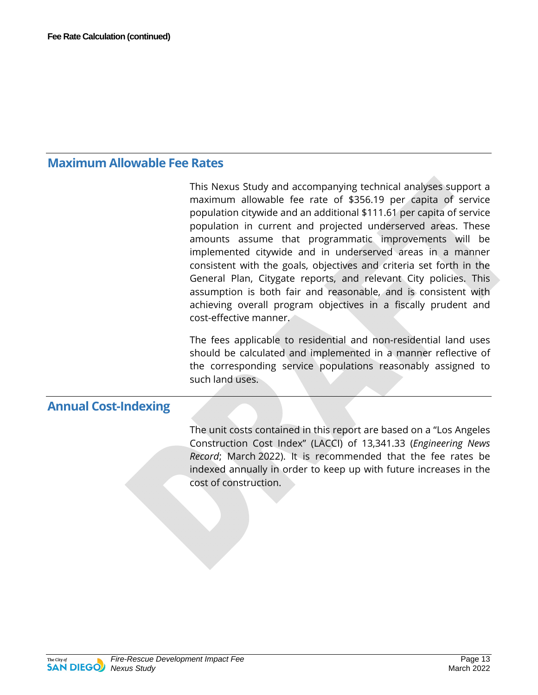#### **Maximum Allowable Fee Rates**

This Nexus Study and accompanying technical analyses support a maximum allowable fee rate of \$356.19 per capita of service population citywide and an additional \$111.61 per capita of service population in current and projected underserved areas. These amounts assume that programmatic improvements will be implemented citywide and in underserved areas in a manner consistent with the goals, objectives and criteria set forth in the General Plan, Citygate reports, and relevant City policies. This assumption is both fair and reasonable, and is consistent with achieving overall program objectives in a fiscally prudent and cost-effective manner.

The fees applicable to residential and non-residential land uses should be calculated and implemented in a manner reflective of the corresponding service populations reasonably assigned to such land uses.

#### **Annual Cost-Indexing**

The unit costs contained in this report are based on a "Los Angeles Construction Cost Index" (LACCI) of 13,341.33 (*Engineering News Record*; March 2022). It is recommended that the fee rates be indexed annually in order to keep up with future increases in the cost of construction.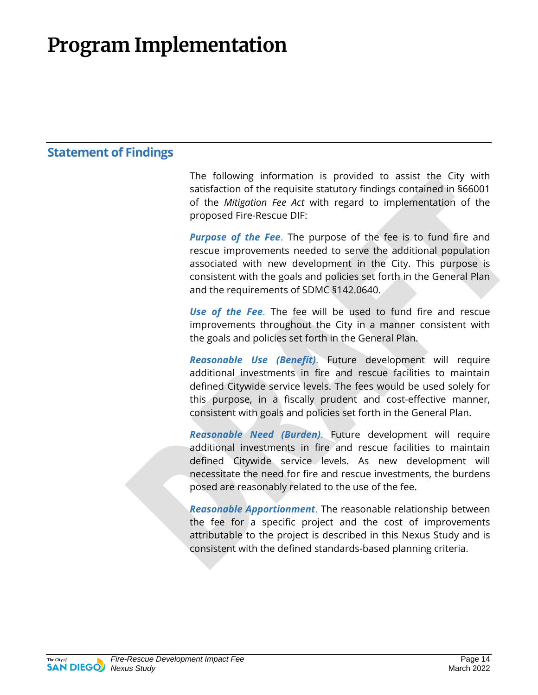## **Program Implementation**

#### **Statement of Findings**

The following information is provided to assist the City with satisfaction of the requisite statutory findings contained in §66001 of the *Mitigation Fee Act* with regard to implementation of the proposed Fire-Rescue DIF:

*Purpose of the Fee*. The purpose of the fee is to fund fire and rescue improvements needed to serve the additional population associated with new development in the City. This purpose is consistent with the goals and policies set forth in the General Plan and the requirements of SDMC §142.0640.

*Use of the Fee*. The fee will be used to fund fire and rescue improvements throughout the City in a manner consistent with the goals and policies set forth in the General Plan.

*Reasonable Use (Benefit)*. Future development will require additional investments in fire and rescue facilities to maintain defined Citywide service levels. The fees would be used solely for this purpose, in a fiscally prudent and cost-effective manner, consistent with goals and policies set forth in the General Plan.

*Reasonable Need (Burden)*. Future development will require additional investments in fire and rescue facilities to maintain defined Citywide service levels. As new development will necessitate the need for fire and rescue investments, the burdens posed are reasonably related to the use of the fee.

*Reasonable Apportionment*. The reasonable relationship between the fee for a specific project and the cost of improvements attributable to the project is described in this Nexus Study and is consistent with the defined standards-based planning criteria.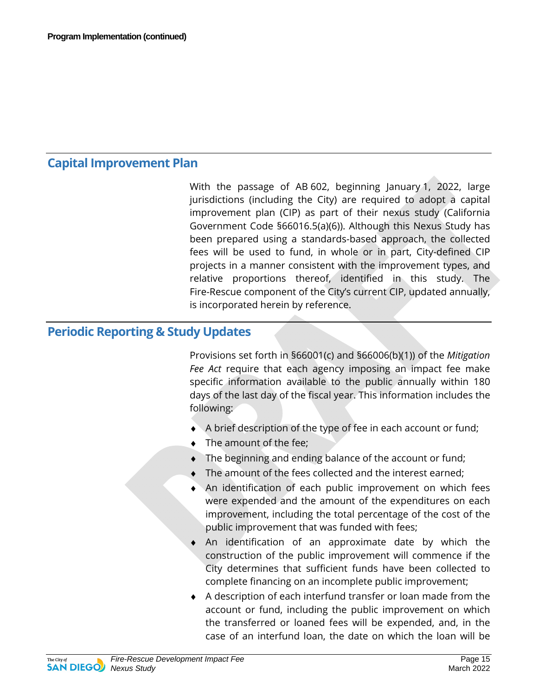#### **Capital Improvement Plan**

With the passage of AB 602, beginning January 1, 2022, large jurisdictions (including the City) are required to adopt a capital improvement plan (CIP) as part of their nexus study (California Government Code §66016.5(a)(6)). Although this Nexus Study has been prepared using a standards-based approach, the collected fees will be used to fund, in whole or in part, City-defined CIP projects in a manner consistent with the improvement types, and relative proportions thereof, identified in this study. The Fire-Rescue component of the City's current CIP, updated annually, is incorporated herein by reference.

#### **Periodic Reporting & Study Updates**

Provisions set forth in §66001(c) and §66006(b)(1)) of the *Mitigation Fee Act* require that each agency imposing an impact fee make specific information available to the public annually within 180 days of the last day of the fiscal year. This information includes the following:

- $\blacklozenge$  A brief description of the type of fee in each account or fund;
- ♦ The amount of the fee;
- $\bullet$  The beginning and ending balance of the account or fund;
- The amount of the fees collected and the interest earned;
- An identification of each public improvement on which fees were expended and the amount of the expenditures on each improvement, including the total percentage of the cost of the public improvement that was funded with fees;
- An identification of an approximate date by which the construction of the public improvement will commence if the City determines that sufficient funds have been collected to complete financing on an incomplete public improvement;
- ♦ A description of each interfund transfer or loan made from the account or fund, including the public improvement on which the transferred or loaned fees will be expended, and, in the case of an interfund loan, the date on which the loan will be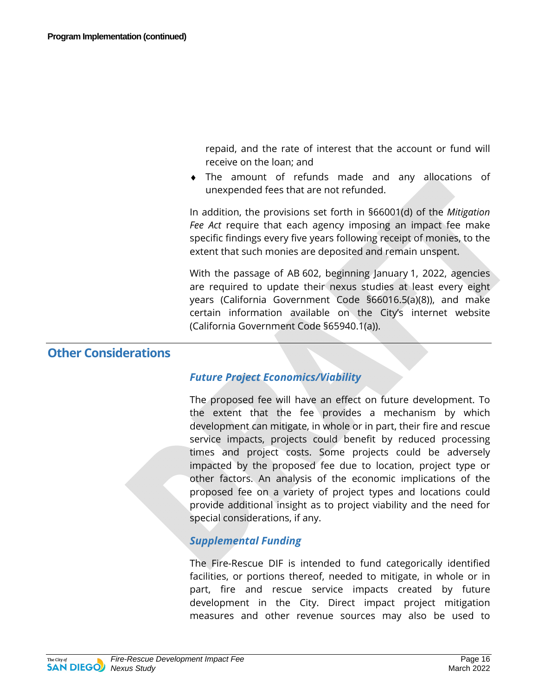repaid, and the rate of interest that the account or fund will receive on the loan; and

♦ The amount of refunds made and any allocations of unexpended fees that are not refunded.

In addition, the provisions set forth in §66001(d) of the *Mitigation Fee Act* require that each agency imposing an impact fee make specific findings every five years following receipt of monies, to the extent that such monies are deposited and remain unspent.

With the passage of AB 602, beginning January 1, 2022, agencies are required to update their nexus studies at least every eight years (California Government Code §66016.5(a)(8)), and make certain information available on the City's internet website (California Government Code §65940.1(a)).

#### **Other Considerations**

#### *Future Project Economics/Viability*

The proposed fee will have an effect on future development. To the extent that the fee provides a mechanism by which development can mitigate, in whole or in part, their fire and rescue service impacts, projects could benefit by reduced processing times and project costs. Some projects could be adversely impacted by the proposed fee due to location, project type or other factors. An analysis of the economic implications of the proposed fee on a variety of project types and locations could provide additional insight as to project viability and the need for special considerations, if any.

#### *Supplemental Funding*

The Fire-Rescue DIF is intended to fund categorically identified facilities, or portions thereof, needed to mitigate, in whole or in part, fire and rescue service impacts created by future development in the City. Direct impact project mitigation measures and other revenue sources may also be used to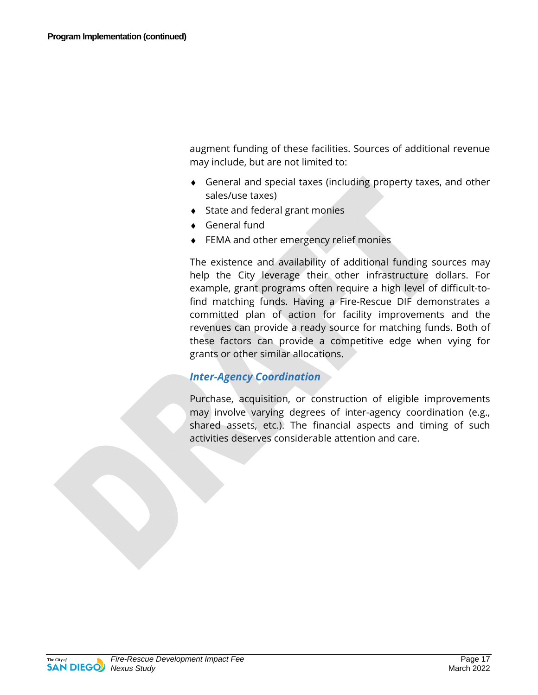augment funding of these facilities. Sources of additional revenue may include, but are not limited to:

- ♦ General and special taxes (including property taxes, and other sales/use taxes)
- ♦ State and federal grant monies
- ♦ General fund
- ♦ FEMA and other emergency relief monies

The existence and availability of additional funding sources may help the City leverage their other infrastructure dollars. For example, grant programs often require a high level of difficult-tofind matching funds. Having a Fire-Rescue DIF demonstrates a committed plan of action for facility improvements and the revenues can provide a ready source for matching funds. Both of these factors can provide a competitive edge when vying for grants or other similar allocations.

#### *Inter-Agency Coordination*

Purchase, acquisition, or construction of eligible improvements may involve varying degrees of inter-agency coordination (e.g., shared assets, etc.). The financial aspects and timing of such activities deserves considerable attention and care.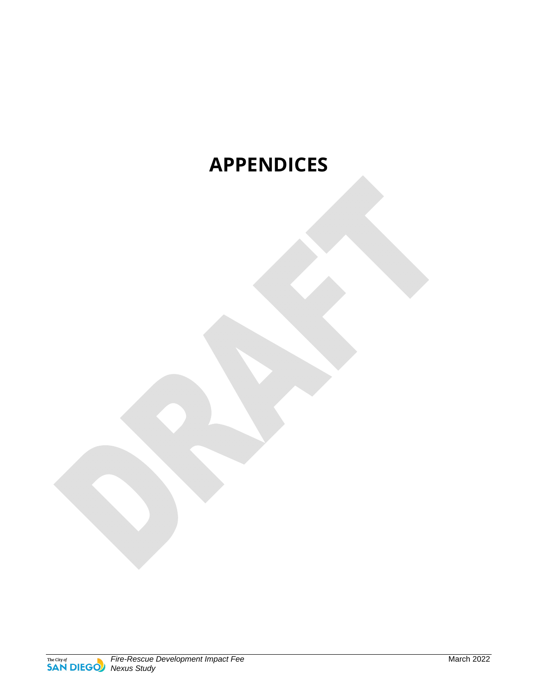### **APPENDICES**